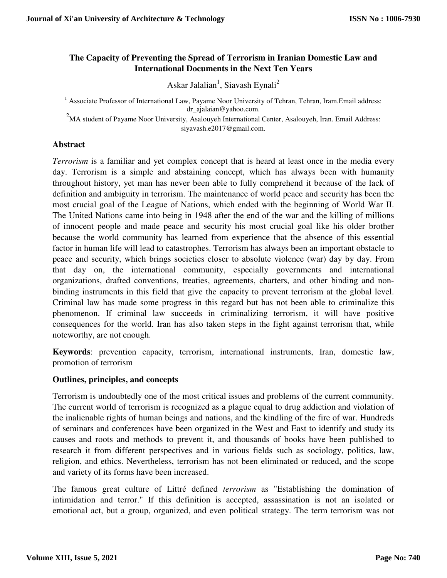# **The Capacity of Preventing the Spread of Terrorism in Iranian Domestic Law and International Documents in the Next Ten Years**

Askar Jalalian<sup>1</sup>, Siavash Eynali<sup>2</sup>

<sup>1</sup> Associate Professor of International Law, Payame Noor University of Tehran, Tehran, Iram.Email address: dr\_ajalaian@yahoo.com.

<sup>2</sup>MA student of Payame Noor University, Asalouyeh International Center, Asalouyeh, Iran. Email Address: siyavash.e2017@gmail.com.

## **Abstract**

*Terrorism* is a familiar and yet complex concept that is heard at least once in the media every day. Terrorism is a simple and abstaining concept, which has always been with humanity throughout history, yet man has never been able to fully comprehend it because of the lack of definition and ambiguity in terrorism. The maintenance of world peace and security has been the most crucial goal of the League of Nations, which ended with the beginning of World War II. The United Nations came into being in 1948 after the end of the war and the killing of millions of innocent people and made peace and security his most crucial goal like his older brother because the world community has learned from experience that the absence of this essential factor in human life will lead to catastrophes. Terrorism has always been an important obstacle to peace and security, which brings societies closer to absolute violence (war) day by day. From that day on, the international community, especially governments and international organizations, drafted conventions, treaties, agreements, charters, and other binding and nonbinding instruments in this field that give the capacity to prevent terrorism at the global level. Criminal law has made some progress in this regard but has not been able to criminalize this phenomenon. If criminal law succeeds in criminalizing terrorism, it will have positive consequences for the world. Iran has also taken steps in the fight against terrorism that, while noteworthy, are not enough.

**Keywords**: prevention capacity, terrorism, international instruments, Iran, domestic law, promotion of terrorism

# **Outlines, principles, and concepts**

Terrorism is undoubtedly one of the most critical issues and problems of the current community. The current world of terrorism is recognized as a plague equal to drug addiction and violation of the inalienable rights of human beings and nations, and the kindling of the fire of war. Hundreds of seminars and conferences have been organized in the West and East to identify and study its causes and roots and methods to prevent it, and thousands of books have been published to research it from different perspectives and in various fields such as sociology, politics, law, religion, and ethics. Nevertheless, terrorism has not been eliminated or reduced, and the scope and variety of its forms have been increased.

The famous great culture of Littré defined *terrorism* as "Establishing the domination of intimidation and terror." If this definition is accepted, assassination is not an isolated or emotional act, but a group, organized, and even political strategy. The term terrorism was not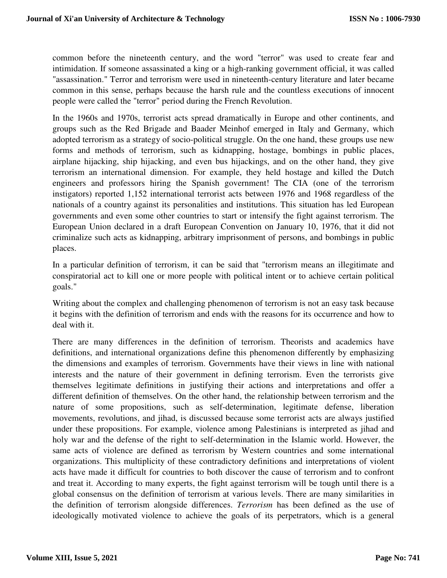common before the nineteenth century, and the word "terror" was used to create fear and intimidation. If someone assassinated a king or a high-ranking government official, it was called "assassination." Terror and terrorism were used in nineteenth-century literature and later became common in this sense, perhaps because the harsh rule and the countless executions of innocent people were called the "terror" period during the French Revolution.

In the 1960s and 1970s, terrorist acts spread dramatically in Europe and other continents, and groups such as the Red Brigade and Baader Meinhof emerged in Italy and Germany, which adopted terrorism as a strategy of socio-political struggle. On the one hand, these groups use new forms and methods of terrorism, such as kidnapping, hostage, bombings in public places, airplane hijacking, ship hijacking, and even bus hijackings, and on the other hand, they give terrorism an international dimension. For example, they held hostage and killed the Dutch engineers and professors hiring the Spanish government! The CIA (one of the terrorism instigators) reported 1,152 international terrorist acts between 1976 and 1968 regardless of the nationals of a country against its personalities and institutions. This situation has led European governments and even some other countries to start or intensify the fight against terrorism. The European Union declared in a draft European Convention on January 10, 1976, that it did not criminalize such acts as kidnapping, arbitrary imprisonment of persons, and bombings in public places.

In a particular definition of terrorism, it can be said that "terrorism means an illegitimate and conspiratorial act to kill one or more people with political intent or to achieve certain political goals."

Writing about the complex and challenging phenomenon of terrorism is not an easy task because it begins with the definition of terrorism and ends with the reasons for its occurrence and how to deal with it.

There are many differences in the definition of terrorism. Theorists and academics have definitions, and international organizations define this phenomenon differently by emphasizing the dimensions and examples of terrorism. Governments have their views in line with national interests and the nature of their government in defining terrorism. Even the terrorists give themselves legitimate definitions in justifying their actions and interpretations and offer a different definition of themselves. On the other hand, the relationship between terrorism and the nature of some propositions, such as self-determination, legitimate defense, liberation movements, revolutions, and jihad, is discussed because some terrorist acts are always justified under these propositions. For example, violence among Palestinians is interpreted as jihad and holy war and the defense of the right to self-determination in the Islamic world. However, the same acts of violence are defined as terrorism by Western countries and some international organizations. This multiplicity of these contradictory definitions and interpretations of violent acts have made it difficult for countries to both discover the cause of terrorism and to confront and treat it. According to many experts, the fight against terrorism will be tough until there is a global consensus on the definition of terrorism at various levels. There are many similarities in the definition of terrorism alongside differences. *Terrorism* has been defined as the use of ideologically motivated violence to achieve the goals of its perpetrators, which is a general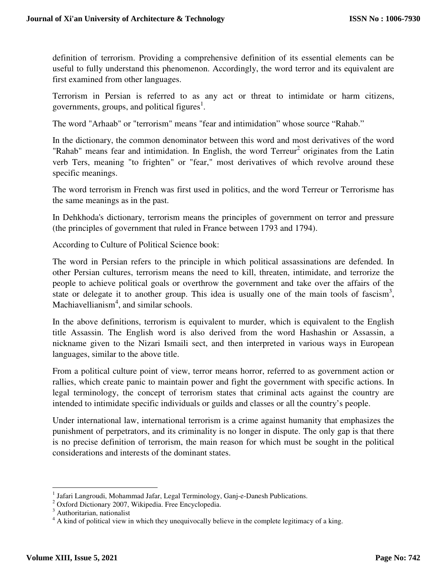definition of terrorism. Providing a comprehensive definition of its essential elements can be useful to fully understand this phenomenon. Accordingly, the word terror and its equivalent are first examined from other languages.

Terrorism in Persian is referred to as any act or threat to intimidate or harm citizens, governments, groups, and political figures<sup>1</sup>.

The word "Arhaab" or "terrorism" means "fear and intimidation" whose source "Rahab."

In the dictionary, the common denominator between this word and most derivatives of the word "Rahab" means fear and intimidation. In English, the word  $Terreur^2$  originates from the Latin verb Ters, meaning "to frighten" or "fear," most derivatives of which revolve around these specific meanings.

The word terrorism in French was first used in politics, and the word Terreur or Terrorisme has the same meanings as in the past.

In Dehkhoda's dictionary, terrorism means the principles of government on terror and pressure (the principles of government that ruled in France between 1793 and 1794).

According to Culture of Political Science book:

The word in Persian refers to the principle in which political assassinations are defended. In other Persian cultures, terrorism means the need to kill, threaten, intimidate, and terrorize the people to achieve political goals or overthrow the government and take over the affairs of the state or delegate it to another group. This idea is usually one of the main tools of fascism<sup>3</sup>, Machiavellianism<sup>4</sup>, and similar schools.

In the above definitions, terrorism is equivalent to murder, which is equivalent to the English title Assassin. The English word is also derived from the word Hashashin or Assassin, a nickname given to the Nizari Ismaili sect, and then interpreted in various ways in European languages, similar to the above title.

From a political culture point of view, terror means horror, referred to as government action or rallies, which create panic to maintain power and fight the government with specific actions. In legal terminology, the concept of terrorism states that criminal acts against the country are intended to intimidate specific individuals or guilds and classes or all the country's people.

Under international law, international terrorism is a crime against humanity that emphasizes the punishment of perpetrators, and its criminality is no longer in dispute. The only gap is that there is no precise definition of terrorism, the main reason for which must be sought in the political considerations and interests of the dominant states.

<sup>&</sup>lt;sup>1</sup> Jafari Langroudi, Mohammad Jafar, Legal Terminology, Ganj-e-Danesh Publications.

<sup>2</sup> Oxford Dictionary 2007, Wikipedia. Free Encyclopedia.

<sup>&</sup>lt;sup>3</sup> Authoritarian, nationalist

<sup>&</sup>lt;sup>4</sup> A kind of political view in which they unequivocally believe in the complete legitimacy of a king.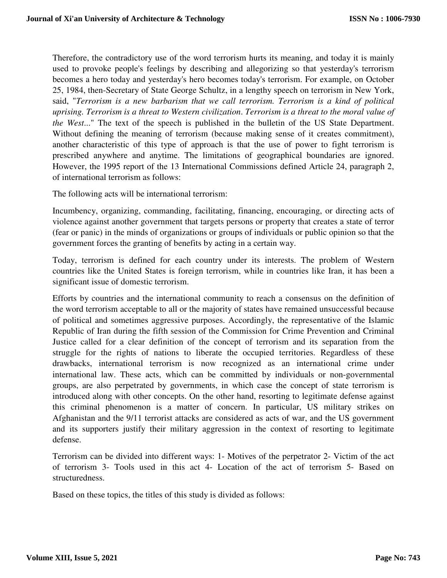Therefore, the contradictory use of the word terrorism hurts its meaning, and today it is mainly used to provoke people's feelings by describing and allegorizing so that yesterday's terrorism becomes a hero today and yesterday's hero becomes today's terrorism. For example, on October 25, 1984, then-Secretary of State George Schultz, in a lengthy speech on terrorism in New York, said, "*Terrorism is a new barbarism that we call terrorism. Terrorism is a kind of political uprising. Terrorism is a threat to Western civilization*. *Terrorism is a threat to the moral value of the West*..." The text of the speech is published in the bulletin of the US State Department. Without defining the meaning of terrorism (because making sense of it creates commitment), another characteristic of this type of approach is that the use of power to fight terrorism is prescribed anywhere and anytime. The limitations of geographical boundaries are ignored. However, the 1995 report of the 13 International Commissions defined Article 24, paragraph 2, of international terrorism as follows:

The following acts will be international terrorism:

Incumbency, organizing, commanding, facilitating, financing, encouraging, or directing acts of violence against another government that targets persons or property that creates a state of terror (fear or panic) in the minds of organizations or groups of individuals or public opinion so that the government forces the granting of benefits by acting in a certain way.

Today, terrorism is defined for each country under its interests. The problem of Western countries like the United States is foreign terrorism, while in countries like Iran, it has been a significant issue of domestic terrorism.

Efforts by countries and the international community to reach a consensus on the definition of the word terrorism acceptable to all or the majority of states have remained unsuccessful because of political and sometimes aggressive purposes. Accordingly, the representative of the Islamic Republic of Iran during the fifth session of the Commission for Crime Prevention and Criminal Justice called for a clear definition of the concept of terrorism and its separation from the struggle for the rights of nations to liberate the occupied territories. Regardless of these drawbacks, international terrorism is now recognized as an international crime under international law. These acts, which can be committed by individuals or non-governmental groups, are also perpetrated by governments, in which case the concept of state terrorism is introduced along with other concepts. On the other hand, resorting to legitimate defense against this criminal phenomenon is a matter of concern. In particular, US military strikes on Afghanistan and the 9/11 terrorist attacks are considered as acts of war, and the US government and its supporters justify their military aggression in the context of resorting to legitimate defense.

Terrorism can be divided into different ways: 1- Motives of the perpetrator 2- Victim of the act of terrorism 3- Tools used in this act 4- Location of the act of terrorism 5- Based on structuredness.

Based on these topics, the titles of this study is divided as follows: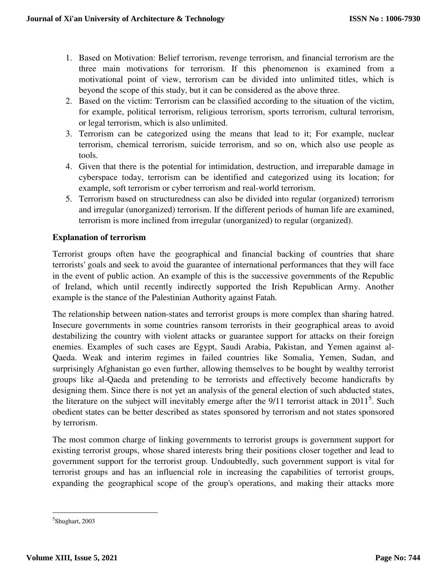- 1. Based on Motivation: Belief terrorism, revenge terrorism, and financial terrorism are the three main motivations for terrorism. If this phenomenon is examined from a motivational point of view, terrorism can be divided into unlimited titles, which is beyond the scope of this study, but it can be considered as the above three.
- 2. Based on the victim: Terrorism can be classified according to the situation of the victim, for example, political terrorism, religious terrorism, sports terrorism, cultural terrorism, or legal terrorism, which is also unlimited.
- 3. Terrorism can be categorized using the means that lead to it; For example, nuclear terrorism, chemical terrorism, suicide terrorism, and so on, which also use people as tools.
- 4. Given that there is the potential for intimidation, destruction, and irreparable damage in cyberspace today, terrorism can be identified and categorized using its location; for example, soft terrorism or cyber terrorism and real-world terrorism.
- 5. Terrorism based on structuredness can also be divided into regular (organized) terrorism and irregular (unorganized) terrorism. If the different periods of human life are examined, terrorism is more inclined from irregular (unorganized) to regular (organized).

## **Explanation of terrorism**

Terrorist groups often have the geographical and financial backing of countries that share terrorists' goals and seek to avoid the guarantee of international performances that they will face in the event of public action. An example of this is the successive governments of the Republic of Ireland, which until recently indirectly supported the Irish Republican Army. Another example is the stance of the Palestinian Authority against Fatah.

The relationship between nation-states and terrorist groups is more complex than sharing hatred. Insecure governments in some countries ransom terrorists in their geographical areas to avoid destabilizing the country with violent attacks or guarantee support for attacks on their foreign enemies. Examples of such cases are Egypt, Saudi Arabia, Pakistan, and Yemen against al-Qaeda. Weak and interim regimes in failed countries like Somalia, Yemen, Sudan, and surprisingly Afghanistan go even further, allowing themselves to be bought by wealthy terrorist groups like al-Qaeda and pretending to be terrorists and effectively become handicrafts by designing them. Since there is not yet an analysis of the general election of such abducted states, the literature on the subject will inevitably emerge after the  $9/11$  terrorist attack in  $2011<sup>5</sup>$ . Such obedient states can be better described as states sponsored by terrorism and not states sponsored by terrorism.

The most common charge of linking governments to terrorist groups is government support for existing terrorist groups, whose shared interests bring their positions closer together and lead to government support for the terrorist group. Undoubtedly, such government support is vital for terrorist groups and has an influencial role in increasing the capabilities of terrorist groups, expanding the geographical scope of the group's operations, and making their attacks more

<u>.</u>

<sup>&</sup>lt;sup>5</sup>Shughart, 2003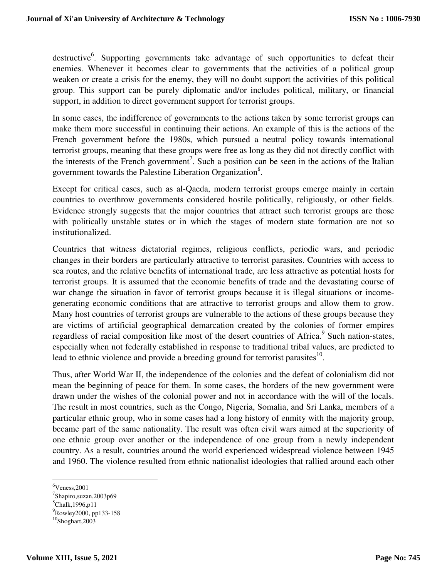destructive<sup>6</sup>. Supporting governments take advantage of such opportunities to defeat their enemies. Whenever it becomes clear to governments that the activities of a political group weaken or create a crisis for the enemy, they will no doubt support the activities of this political group. This support can be purely diplomatic and/or includes political, military, or financial support, in addition to direct government support for terrorist groups.

In some cases, the indifference of governments to the actions taken by some terrorist groups can make them more successful in continuing their actions. An example of this is the actions of the French government before the 1980s, which pursued a neutral policy towards international terrorist groups, meaning that these groups were free as long as they did not directly conflict with the interests of the French government<sup>7</sup>. Such a position can be seen in the actions of the Italian government towards the Palestine Liberation Organization<sup>8</sup>.

Except for critical cases, such as al-Qaeda, modern terrorist groups emerge mainly in certain countries to overthrow governments considered hostile politically, religiously, or other fields. Evidence strongly suggests that the major countries that attract such terrorist groups are those with politically unstable states or in which the stages of modern state formation are not so institutionalized.

Countries that witness dictatorial regimes, religious conflicts, periodic wars, and periodic changes in their borders are particularly attractive to terrorist parasites. Countries with access to sea routes, and the relative benefits of international trade, are less attractive as potential hosts for terrorist groups. It is assumed that the economic benefits of trade and the devastating course of war change the situation in favor of terrorist groups because it is illegal situations or incomegenerating economic conditions that are attractive to terrorist groups and allow them to grow. Many host countries of terrorist groups are vulnerable to the actions of these groups because they are victims of artificial geographical demarcation created by the colonies of former empires regardless of racial composition like most of the desert countries of Africa.<sup>9</sup> Such nation-states, especially when not federally established in response to traditional tribal values, are predicted to lead to ethnic violence and provide a breeding ground for terrorist parasites $^{10}$ .

Thus, after World War II, the independence of the colonies and the defeat of colonialism did not mean the beginning of peace for them. In some cases, the borders of the new government were drawn under the wishes of the colonial power and not in accordance with the will of the locals. The result in most countries, such as the Congo, Nigeria, Somalia, and Sri Lanka, members of a particular ethnic group, who in some cases had a long history of enmity with the majority group, became part of the same nationality. The result was often civil wars aimed at the superiority of one ethnic group over another or the independence of one group from a newly independent country. As a result, countries around the world experienced widespread violence between 1945 and 1960. The violence resulted from ethnic nationalist ideologies that rallied around each other

 $6$ Veness, 2001

<sup>&</sup>lt;sup>7</sup>Shapiro,suzan,2003p69

<sup>&</sup>lt;sup>8</sup>Chalk, 1996, p11

<sup>&</sup>lt;sup>9</sup>Rowley2000, pp133-158

<sup>10</sup>Shoghart,2003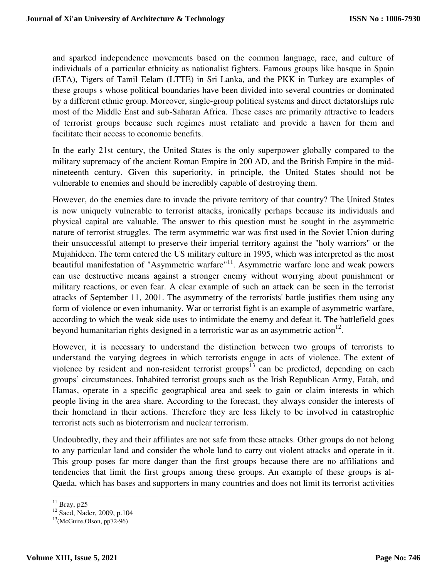and sparked independence movements based on the common language, race, and culture of individuals of a particular ethnicity as nationalist fighters. Famous groups like basque in Spain (ETA), Tigers of Tamil Eelam (LTTE) in Sri Lanka, and the PKK in Turkey are examples of these groups s whose political boundaries have been divided into several countries or dominated by a different ethnic group. Moreover, single-group political systems and direct dictatorships rule most of the Middle East and sub-Saharan Africa. These cases are primarily attractive to leaders of terrorist groups because such regimes must retaliate and provide a haven for them and facilitate their access to economic benefits.

In the early 21st century, the United States is the only superpower globally compared to the military supremacy of the ancient Roman Empire in 200 AD, and the British Empire in the midnineteenth century. Given this superiority, in principle, the United States should not be vulnerable to enemies and should be incredibly capable of destroying them.

However, do the enemies dare to invade the private territory of that country? The United States is now uniquely vulnerable to terrorist attacks, ironically perhaps because its individuals and physical capital are valuable. The answer to this question must be sought in the asymmetric nature of terrorist struggles. The term asymmetric war was first used in the Soviet Union during their unsuccessful attempt to preserve their imperial territory against the "holy warriors" or the Mujahideen. The term entered the US military culture in 1995, which was interpreted as the most beautiful manifestation of "Asymmetric warfare"<sup>11</sup>. Asymmetric warfare lone and weak powers can use destructive means against a stronger enemy without worrying about punishment or military reactions, or even fear. A clear example of such an attack can be seen in the terrorist attacks of September 11, 2001. The asymmetry of the terrorists' battle justifies them using any form of violence or even inhumanity. War or terrorist fight is an example of asymmetric warfare, according to which the weak side uses to intimidate the enemy and defeat it. The battlefield goes beyond humanitarian rights designed in a terroristic war as an asymmetric action<sup>12</sup>.

However, it is necessary to understand the distinction between two groups of terrorists to understand the varying degrees in which terrorists engage in acts of violence. The extent of violence by resident and non-resident terrorist groups<sup>13</sup> can be predicted, depending on each groups' circumstances. Inhabited terrorist groups such as the Irish Republican Army, Fatah, and Hamas, operate in a specific geographical area and seek to gain or claim interests in which people living in the area share. According to the forecast, they always consider the interests of their homeland in their actions. Therefore they are less likely to be involved in catastrophic terrorist acts such as bioterrorism and nuclear terrorism.

Undoubtedly, they and their affiliates are not safe from these attacks. Other groups do not belong to any particular land and consider the whole land to carry out violent attacks and operate in it. This group poses far more danger than the first groups because there are no affiliations and tendencies that limit the first groups among these groups. An example of these groups is al-Qaeda, which has bases and supporters in many countries and does not limit its terrorist activities

 $\overline{a}$  $11$  Bray, p25

 $12$  Saed, Nader, 2009, p.104

 $13$ (McGuire, Olson, pp72-96)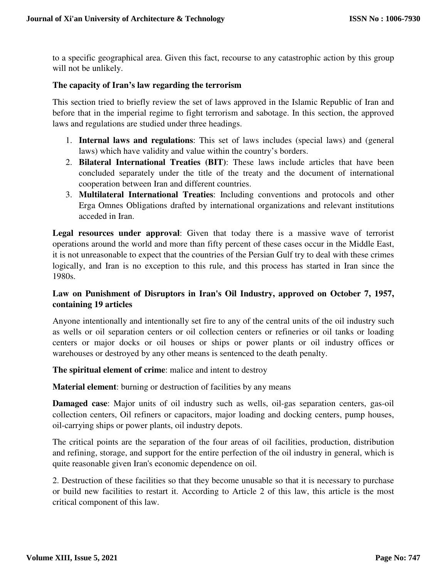to a specific geographical area. Given this fact, recourse to any catastrophic action by this group will not be unlikely.

#### **The capacity of Iran's law regarding the terrorism**

This section tried to briefly review the set of laws approved in the Islamic Republic of Iran and before that in the imperial regime to fight terrorism and sabotage. In this section, the approved laws and regulations are studied under three headings.

- 1. **Internal laws and regulations**: This set of laws includes (special laws) and (general laws) which have validity and value within the country's borders.
- 2. **Bilateral International Treaties (BIT)**: These laws include articles that have been concluded separately under the title of the treaty and the document of international cooperation between Iran and different countries.
- 3. **Multilateral International Treaties**: Including conventions and protocols and other Erga Omnes Obligations drafted by international organizations and relevant institutions acceded in Iran.

**Legal resources under approval**: Given that today there is a massive wave of terrorist operations around the world and more than fifty percent of these cases occur in the Middle East, it is not unreasonable to expect that the countries of the Persian Gulf try to deal with these crimes logically, and Iran is no exception to this rule, and this process has started in Iran since the 1980s.

# **Law on Punishment of Disruptors in Iran's Oil Industry, approved on October 7, 1957, containing 19 articles**

Anyone intentionally and intentionally set fire to any of the central units of the oil industry such as wells or oil separation centers or oil collection centers or refineries or oil tanks or loading centers or major docks or oil houses or ships or power plants or oil industry offices or warehouses or destroyed by any other means is sentenced to the death penalty.

#### **The spiritual element of crime**: malice and intent to destroy

**Material element:** burning or destruction of facilities by any means

**Damaged case**: Major units of oil industry such as wells, oil-gas separation centers, gas-oil collection centers, Oil refiners or capacitors, major loading and docking centers, pump houses, oil-carrying ships or power plants, oil industry depots.

The critical points are the separation of the four areas of oil facilities, production, distribution and refining, storage, and support for the entire perfection of the oil industry in general, which is quite reasonable given Iran's economic dependence on oil.

2. Destruction of these facilities so that they become unusable so that it is necessary to purchase or build new facilities to restart it. According to Article 2 of this law, this article is the most critical component of this law.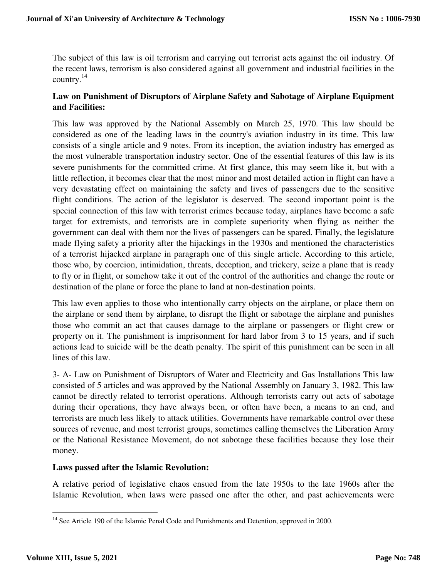The subject of this law is oil terrorism and carrying out terrorist acts against the oil industry. Of the recent laws, terrorism is also considered against all government and industrial facilities in the country.<sup>14</sup>

# **Law on Punishment of Disruptors of Airplane Safety and Sabotage of Airplane Equipment and Facilities:**

This law was approved by the National Assembly on March 25, 1970. This law should be considered as one of the leading laws in the country's aviation industry in its time. This law consists of a single article and 9 notes. From its inception, the aviation industry has emerged as the most vulnerable transportation industry sector. One of the essential features of this law is its severe punishments for the committed crime. At first glance, this may seem like it, but with a little reflection, it becomes clear that the most minor and most detailed action in flight can have a very devastating effect on maintaining the safety and lives of passengers due to the sensitive flight conditions. The action of the legislator is deserved. The second important point is the special connection of this law with terrorist crimes because today, airplanes have become a safe target for extremists, and terrorists are in complete superiority when flying as neither the government can deal with them nor the lives of passengers can be spared. Finally, the legislature made flying safety a priority after the hijackings in the 1930s and mentioned the characteristics of a terrorist hijacked airplane in paragraph one of this single article. According to this article, those who, by coercion, intimidation, threats, deception, and trickery, seize a plane that is ready to fly or in flight, or somehow take it out of the control of the authorities and change the route or destination of the plane or force the plane to land at non-destination points.

This law even applies to those who intentionally carry objects on the airplane, or place them on the airplane or send them by airplane, to disrupt the flight or sabotage the airplane and punishes those who commit an act that causes damage to the airplane or passengers or flight crew or property on it. The punishment is imprisonment for hard labor from 3 to 15 years, and if such actions lead to suicide will be the death penalty. The spirit of this punishment can be seen in all lines of this law.

3- A- Law on Punishment of Disruptors of Water and Electricity and Gas Installations This law consisted of 5 articles and was approved by the National Assembly on January 3, 1982. This law cannot be directly related to terrorist operations. Although terrorists carry out acts of sabotage during their operations, they have always been, or often have been, a means to an end, and terrorists are much less likely to attack utilities. Governments have remarkable control over these sources of revenue, and most terrorist groups, sometimes calling themselves the Liberation Army or the National Resistance Movement, do not sabotage these facilities because they lose their money.

### **Laws passed after the Islamic Revolution:**

A relative period of legislative chaos ensued from the late 1950s to the late 1960s after the Islamic Revolution, when laws were passed one after the other, and past achievements were

<sup>&</sup>lt;sup>14</sup> See Article 190 of the Islamic Penal Code and Punishments and Detention, approved in 2000.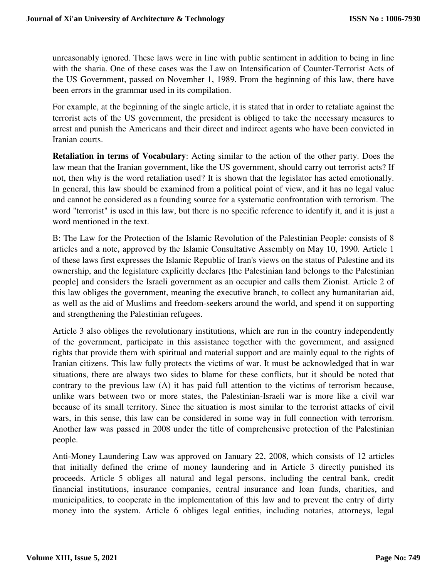unreasonably ignored. These laws were in line with public sentiment in addition to being in line with the sharia. One of these cases was the Law on Intensification of Counter-Terrorist Acts of the US Government, passed on November 1, 1989. From the beginning of this law, there have been errors in the grammar used in its compilation.

For example, at the beginning of the single article, it is stated that in order to retaliate against the terrorist acts of the US government, the president is obliged to take the necessary measures to arrest and punish the Americans and their direct and indirect agents who have been convicted in Iranian courts.

**Retaliation in terms of Vocabulary**: Acting similar to the action of the other party. Does the law mean that the Iranian government, like the US government, should carry out terrorist acts? If not, then why is the word retaliation used? It is shown that the legislator has acted emotionally. In general, this law should be examined from a political point of view, and it has no legal value and cannot be considered as a founding source for a systematic confrontation with terrorism. The word "terrorist" is used in this law, but there is no specific reference to identify it, and it is just a word mentioned in the text.

B: The Law for the Protection of the Islamic Revolution of the Palestinian People: consists of 8 articles and a note, approved by the Islamic Consultative Assembly on May 10, 1990. Article 1 of these laws first expresses the Islamic Republic of Iran's views on the status of Palestine and its ownership, and the legislature explicitly declares [the Palestinian land belongs to the Palestinian people] and considers the Israeli government as an occupier and calls them Zionist. Article 2 of this law obliges the government, meaning the executive branch, to collect any humanitarian aid, as well as the aid of Muslims and freedom-seekers around the world, and spend it on supporting and strengthening the Palestinian refugees.

Article 3 also obliges the revolutionary institutions, which are run in the country independently of the government, participate in this assistance together with the government, and assigned rights that provide them with spiritual and material support and are mainly equal to the rights of Iranian citizens. This law fully protects the victims of war. It must be acknowledged that in war situations, there are always two sides to blame for these conflicts, but it should be noted that contrary to the previous law (A) it has paid full attention to the victims of terrorism because, unlike wars between two or more states, the Palestinian-Israeli war is more like a civil war because of its small territory. Since the situation is most similar to the terrorist attacks of civil wars, in this sense, this law can be considered in some way in full connection with terrorism. Another law was passed in 2008 under the title of comprehensive protection of the Palestinian people.

Anti-Money Laundering Law was approved on January 22, 2008, which consists of 12 articles that initially defined the crime of money laundering and in Article 3 directly punished its proceeds. Article 5 obliges all natural and legal persons, including the central bank, credit financial institutions, insurance companies, central insurance and loan funds, charities, and municipalities, to cooperate in the implementation of this law and to prevent the entry of dirty money into the system. Article 6 obliges legal entities, including notaries, attorneys, legal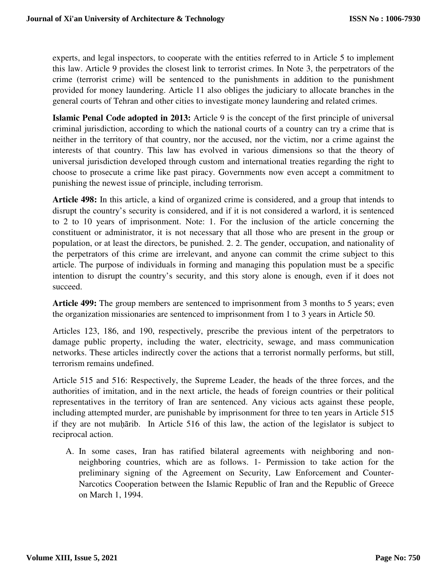experts, and legal inspectors, to cooperate with the entities referred to in Article 5 to implement this law. Article 9 provides the closest link to terrorist crimes. In Note 3, the perpetrators of the crime (terrorist crime) will be sentenced to the punishments in addition to the punishment provided for money laundering. Article 11 also obliges the judiciary to allocate branches in the general courts of Tehran and other cities to investigate money laundering and related crimes.

**Islamic Penal Code adopted in 2013:** Article 9 is the concept of the first principle of universal criminal jurisdiction, according to which the national courts of a country can try a crime that is neither in the territory of that country, nor the accused, nor the victim, nor a crime against the interests of that country. This law has evolved in various dimensions so that the theory of universal jurisdiction developed through custom and international treaties regarding the right to choose to prosecute a crime like past piracy. Governments now even accept a commitment to punishing the newest issue of principle, including terrorism.

**Article 498:** In this article, a kind of organized crime is considered, and a group that intends to disrupt the country's security is considered, and if it is not considered a warlord, it is sentenced to 2 to 10 years of imprisonment. Note: 1. For the inclusion of the article concerning the constituent or administrator, it is not necessary that all those who are present in the group or population, or at least the directors, be punished. 2. 2. The gender, occupation, and nationality of the perpetrators of this crime are irrelevant, and anyone can commit the crime subject to this article. The purpose of individuals in forming and managing this population must be a specific intention to disrupt the country's security, and this story alone is enough, even if it does not succeed.

**Article 499:** The group members are sentenced to imprisonment from 3 months to 5 years; even the organization missionaries are sentenced to imprisonment from 1 to 3 years in Article 50.

Articles 123, 186, and 190, respectively, prescribe the previous intent of the perpetrators to damage public property, including the water, electricity, sewage, and mass communication networks. These articles indirectly cover the actions that a terrorist normally performs, but still, terrorism remains undefined.

Article 515 and 516: Respectively, the Supreme Leader, the heads of the three forces, and the authorities of imitation, and in the next article, the heads of foreign countries or their political representatives in the territory of Iran are sentenced. Any vicious acts against these people, including attempted murder, are punishable by imprisonment for three to ten years in Article 515 if they are not muḥārib. In Article 516 of this law, the action of the legislator is subject to reciprocal action.

A. In some cases, Iran has ratified bilateral agreements with neighboring and nonneighboring countries, which are as follows. 1- Permission to take action for the preliminary signing of the Agreement on Security, Law Enforcement and Counter-Narcotics Cooperation between the Islamic Republic of Iran and the Republic of Greece on March 1, 1994.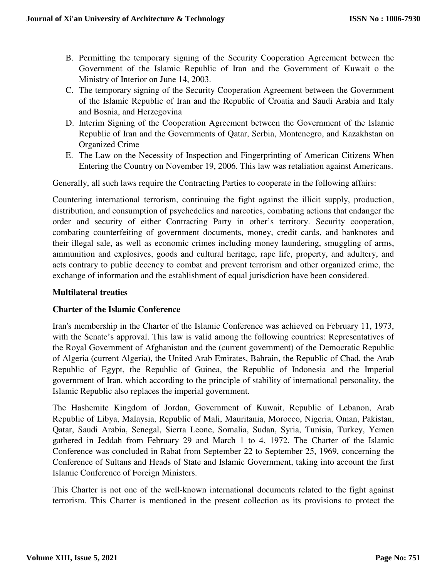- B. Permitting the temporary signing of the Security Cooperation Agreement between the Government of the Islamic Republic of Iran and the Government of Kuwait o the Ministry of Interior on June 14, 2003.
- C. The temporary signing of the Security Cooperation Agreement between the Government of the Islamic Republic of Iran and the Republic of Croatia and Saudi Arabia and Italy and Bosnia, and Herzegovina
- D. Interim Signing of the Cooperation Agreement between the Government of the Islamic Republic of Iran and the Governments of Qatar, Serbia, Montenegro, and Kazakhstan on Organized Crime
- E. The Law on the Necessity of Inspection and Fingerprinting of American Citizens When Entering the Country on November 19, 2006. This law was retaliation against Americans.

Generally, all such laws require the Contracting Parties to cooperate in the following affairs:

Countering international terrorism, continuing the fight against the illicit supply, production, distribution, and consumption of psychedelics and narcotics, combating actions that endanger the order and security of either Contracting Party in other's territory. Security cooperation, combating counterfeiting of government documents, money, credit cards, and banknotes and their illegal sale, as well as economic crimes including money laundering, smuggling of arms, ammunition and explosives, goods and cultural heritage, rape life, property, and adultery, and acts contrary to public decency to combat and prevent terrorism and other organized crime, the exchange of information and the establishment of equal jurisdiction have been considered.

### **Multilateral treaties**

### **Charter of the Islamic Conference**

Iran's membership in the Charter of the Islamic Conference was achieved on February 11, 1973, with the Senate's approval. This law is valid among the following countries: Representatives of the Royal Government of Afghanistan and the (current government) of the Democratic Republic of Algeria (current Algeria), the United Arab Emirates, Bahrain, the Republic of Chad, the Arab Republic of Egypt, the Republic of Guinea, the Republic of Indonesia and the Imperial government of Iran, which according to the principle of stability of international personality, the Islamic Republic also replaces the imperial government.

The Hashemite Kingdom of Jordan, Government of Kuwait, Republic of Lebanon, Arab Republic of Libya, Malaysia, Republic of Mali, Mauritania, Morocco, Nigeria, Oman, Pakistan, Qatar, Saudi Arabia, Senegal, Sierra Leone, Somalia, Sudan, Syria, Tunisia, Turkey, Yemen gathered in Jeddah from February 29 and March 1 to 4, 1972. The Charter of the Islamic Conference was concluded in Rabat from September 22 to September 25, 1969, concerning the Conference of Sultans and Heads of State and Islamic Government, taking into account the first Islamic Conference of Foreign Ministers.

This Charter is not one of the well-known international documents related to the fight against terrorism. This Charter is mentioned in the present collection as its provisions to protect the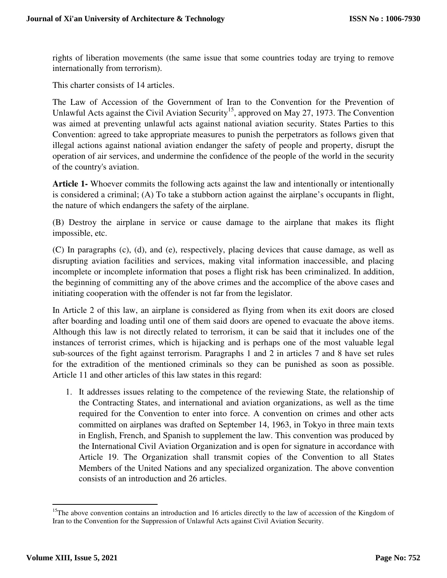rights of liberation movements (the same issue that some countries today are trying to remove internationally from terrorism).

This charter consists of 14 articles.

The Law of Accession of the Government of Iran to the Convention for the Prevention of Unlawful Acts against the Civil Aviation Security<sup>15</sup>, approved on May 27, 1973. The Convention was aimed at preventing unlawful acts against national aviation security. States Parties to this Convention: agreed to take appropriate measures to punish the perpetrators as follows given that illegal actions against national aviation endanger the safety of people and property, disrupt the operation of air services, and undermine the confidence of the people of the world in the security of the country's aviation.

**Article 1-** Whoever commits the following acts against the law and intentionally or intentionally is considered a criminal; (A) To take a stubborn action against the airplane's occupants in flight, the nature of which endangers the safety of the airplane.

(B) Destroy the airplane in service or cause damage to the airplane that makes its flight impossible, etc.

(C) In paragraphs (c), (d), and (e), respectively, placing devices that cause damage, as well as disrupting aviation facilities and services, making vital information inaccessible, and placing incomplete or incomplete information that poses a flight risk has been criminalized. In addition, the beginning of committing any of the above crimes and the accomplice of the above cases and initiating cooperation with the offender is not far from the legislator.

In Article 2 of this law, an airplane is considered as flying from when its exit doors are closed after boarding and loading until one of them said doors are opened to evacuate the above items. Although this law is not directly related to terrorism, it can be said that it includes one of the instances of terrorist crimes, which is hijacking and is perhaps one of the most valuable legal sub-sources of the fight against terrorism. Paragraphs 1 and 2 in articles 7 and 8 have set rules for the extradition of the mentioned criminals so they can be punished as soon as possible. Article 11 and other articles of this law states in this regard:

1. It addresses issues relating to the competence of the reviewing State, the relationship of the Contracting States, and international and aviation organizations, as well as the time required for the Convention to enter into force. A convention on crimes and other acts committed on airplanes was drafted on September 14, 1963, in Tokyo in three main texts in English, French, and Spanish to supplement the law. This convention was produced by the International Civil Aviation Organization and is open for signature in accordance with Article 19. The Organization shall transmit copies of the Convention to all States Members of the United Nations and any specialized organization. The above convention consists of an introduction and 26 articles.

<u>.</u>

 $15$ The above convention contains an introduction and 16 articles directly to the law of accession of the Kingdom of Iran to the Convention for the Suppression of Unlawful Acts against Civil Aviation Security.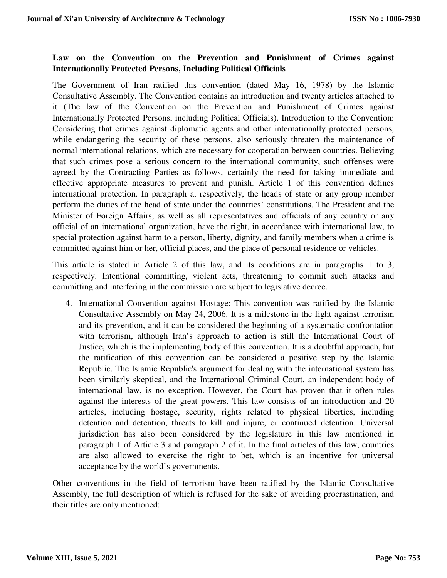# **Law on the Convention on the Prevention and Punishment of Crimes against Internationally Protected Persons, Including Political Officials**

The Government of Iran ratified this convention (dated May 16, 1978) by the Islamic Consultative Assembly. The Convention contains an introduction and twenty articles attached to it (The law of the Convention on the Prevention and Punishment of Crimes against Internationally Protected Persons, including Political Officials). Introduction to the Convention: Considering that crimes against diplomatic agents and other internationally protected persons, while endangering the security of these persons, also seriously threaten the maintenance of normal international relations, which are necessary for cooperation between countries. Believing that such crimes pose a serious concern to the international community, such offenses were agreed by the Contracting Parties as follows, certainly the need for taking immediate and effective appropriate measures to prevent and punish. Article 1 of this convention defines international protection. In paragraph a, respectively, the heads of state or any group member perform the duties of the head of state under the countries' constitutions. The President and the Minister of Foreign Affairs, as well as all representatives and officials of any country or any official of an international organization, have the right, in accordance with international law, to special protection against harm to a person, liberty, dignity, and family members when a crime is committed against him or her, official places, and the place of personal residence or vehicles.

This article is stated in Article 2 of this law, and its conditions are in paragraphs 1 to 3, respectively. Intentional committing, violent acts, threatening to commit such attacks and committing and interfering in the commission are subject to legislative decree.

4. International Convention against Hostage: This convention was ratified by the Islamic Consultative Assembly on May 24, 2006. It is a milestone in the fight against terrorism and its prevention, and it can be considered the beginning of a systematic confrontation with terrorism, although Iran's approach to action is still the International Court of Justice, which is the implementing body of this convention. It is a doubtful approach, but the ratification of this convention can be considered a positive step by the Islamic Republic. The Islamic Republic's argument for dealing with the international system has been similarly skeptical, and the International Criminal Court, an independent body of international law, is no exception. However, the Court has proven that it often rules against the interests of the great powers. This law consists of an introduction and 20 articles, including hostage, security, rights related to physical liberties, including detention and detention, threats to kill and injure, or continued detention. Universal jurisdiction has also been considered by the legislature in this law mentioned in paragraph 1 of Article 3 and paragraph 2 of it. In the final articles of this law, countries are also allowed to exercise the right to bet, which is an incentive for universal acceptance by the world's governments.

Other conventions in the field of terrorism have been ratified by the Islamic Consultative Assembly, the full description of which is refused for the sake of avoiding procrastination, and their titles are only mentioned: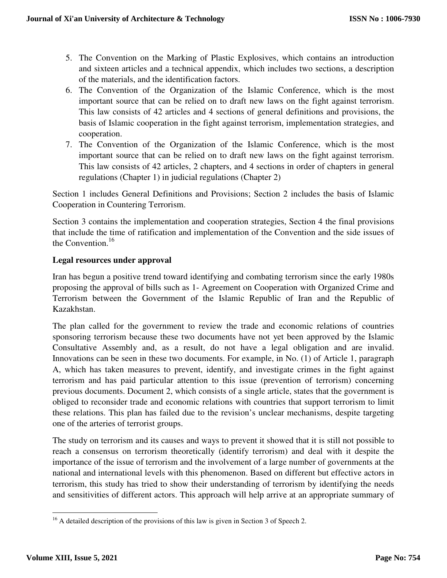- 5. The Convention on the Marking of Plastic Explosives, which contains an introduction and sixteen articles and a technical appendix, which includes two sections, a description of the materials, and the identification factors.
- 6. The Convention of the Organization of the Islamic Conference, which is the most important source that can be relied on to draft new laws on the fight against terrorism. This law consists of 42 articles and 4 sections of general definitions and provisions, the basis of Islamic cooperation in the fight against terrorism, implementation strategies, and cooperation.
- 7. The Convention of the Organization of the Islamic Conference, which is the most important source that can be relied on to draft new laws on the fight against terrorism. This law consists of 42 articles, 2 chapters, and 4 sections in order of chapters in general regulations (Chapter 1) in judicial regulations (Chapter 2)

Section 1 includes General Definitions and Provisions; Section 2 includes the basis of Islamic Cooperation in Countering Terrorism.

Section 3 contains the implementation and cooperation strategies, Section 4 the final provisions that include the time of ratification and implementation of the Convention and the side issues of the Convention. $16$ 

## **Legal resources under approval**

Iran has begun a positive trend toward identifying and combating terrorism since the early 1980s proposing the approval of bills such as 1- Agreement on Cooperation with Organized Crime and Terrorism between the Government of the Islamic Republic of Iran and the Republic of Kazakhstan.

The plan called for the government to review the trade and economic relations of countries sponsoring terrorism because these two documents have not yet been approved by the Islamic Consultative Assembly and, as a result, do not have a legal obligation and are invalid. Innovations can be seen in these two documents. For example, in No. (1) of Article 1, paragraph A, which has taken measures to prevent, identify, and investigate crimes in the fight against terrorism and has paid particular attention to this issue (prevention of terrorism) concerning previous documents. Document 2, which consists of a single article, states that the government is obliged to reconsider trade and economic relations with countries that support terrorism to limit these relations. This plan has failed due to the revision's unclear mechanisms, despite targeting one of the arteries of terrorist groups.

The study on terrorism and its causes and ways to prevent it showed that it is still not possible to reach a consensus on terrorism theoretically (identify terrorism) and deal with it despite the importance of the issue of terrorism and the involvement of a large number of governments at the national and international levels with this phenomenon. Based on different but effective actors in terrorism, this study has tried to show their understanding of terrorism by identifying the needs and sensitivities of different actors. This approach will help arrive at an appropriate summary of

<sup>&</sup>lt;sup>16</sup> A detailed description of the provisions of this law is given in Section 3 of Speech 2.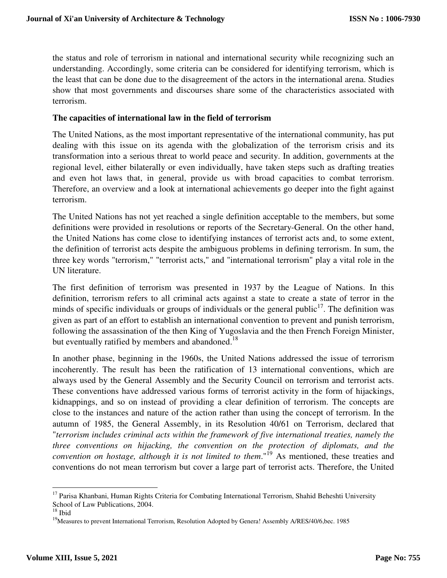the status and role of terrorism in national and international security while recognizing such an understanding. Accordingly, some criteria can be considered for identifying terrorism, which is the least that can be done due to the disagreement of the actors in the international arena. Studies show that most governments and discourses share some of the characteristics associated with terrorism.

### **The capacities of international law in the field of terrorism**

The United Nations, as the most important representative of the international community, has put dealing with this issue on its agenda with the globalization of the terrorism crisis and its transformation into a serious threat to world peace and security. In addition, governments at the regional level, either bilaterally or even individually, have taken steps such as drafting treaties and even hot laws that, in general, provide us with broad capacities to combat terrorism. Therefore, an overview and a look at international achievements go deeper into the fight against terrorism.

The United Nations has not yet reached a single definition acceptable to the members, but some definitions were provided in resolutions or reports of the Secretary-General. On the other hand, the United Nations has come close to identifying instances of terrorist acts and, to some extent, the definition of terrorist acts despite the ambiguous problems in defining terrorism. In sum, the three key words "terrorism," "terrorist acts," and "international terrorism" play a vital role in the UN literature.

The first definition of terrorism was presented in 1937 by the League of Nations. In this definition, terrorism refers to all criminal acts against a state to create a state of terror in the minds of specific individuals or groups of individuals or the general public<sup>17</sup>. The definition was given as part of an effort to establish an international convention to prevent and punish terrorism, following the assassination of the then King of Yugoslavia and the then French Foreign Minister, but eventually ratified by members and abandoned.<sup>18</sup>

In another phase, beginning in the 1960s, the United Nations addressed the issue of terrorism incoherently. The result has been the ratification of 13 international conventions, which are always used by the General Assembly and the Security Council on terrorism and terrorist acts. These conventions have addressed various forms of terrorist activity in the form of hijackings, kidnappings, and so on instead of providing a clear definition of terrorism. The concepts are close to the instances and nature of the action rather than using the concept of terrorism. In the autumn of 1985, the General Assembly, in its Resolution 40/61 on Terrorism, declared that "*terrorism includes criminal acts within the framework of five international treaties, namely the three conventions on hijacking, the convention on the protection of diplomats, and the convention on hostage, although it is not limited to them.*<sup>19</sup> As mentioned, these treaties and conventions do not mean terrorism but cover a large part of terrorist acts. Therefore, the United

<u>.</u>

<sup>&</sup>lt;sup>17</sup> Parisa Khanbani, Human Rights Criteria for Combating International Terrorism, Shahid Beheshti University School of Law Publications, 2004.

 $18$  Ibid

<sup>&</sup>lt;sup>19</sup>Measures to prevent International Terrorism, Resolution Adopted by Genera! Assembly A/RES/40/6,bec. 1985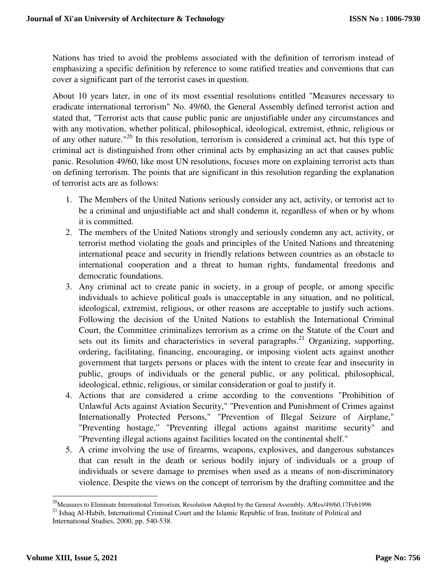Nations has tried to avoid the problems associated with the definition of terrorism instead of emphasizing a specific definition by reference to some ratified treaties and conventions that can cover a significant part of the terrorist cases in question.

About 10 years later, in one of its most essential resolutions entitled "Measures necessary to eradicate international terrorism" No. 49/60, the General Assembly defined terrorist action and stated that, "Terrorist acts that cause public panic are unjustifiable under any circumstances and with any motivation, whether political, philosophical, ideological, extremist, ethnic, religious or of any other nature."<sup>20</sup> In this resolution, terrorism is considered a criminal act, but this type of criminal act is distinguished from other criminal acts by emphasizing an act that causes public panic. Resolution 49/60, like most UN resolutions, focuses more on explaining terrorist acts than on defining terrorism. The points that are significant in this resolution regarding the explanation of terrorist acts are as follows:

- 1. The Members of the United Nations seriously consider any act, activity, or terrorist act to be a criminal and unjustifiable act and shall condemn it, regardless of when or by whom it is committed.
- 2. The members of the United Nations strongly and seriously condemn any act, activity, or terrorist method violating the goals and principles of the United Nations and threatening international peace and security in friendly relations between countries as an obstacle to international cooperation and a threat to human rights, fundamental freedoms and democratic foundations.
- 3. Any criminal act to create panic in society, in a group of people, or among specific individuals to achieve political goals is unacceptable in any situation, and no political, ideological, extremist, religious, or other reasons are acceptable to justify such actions. Following the decision of the United Nations to establish the International Criminal Court, the Committee criminalizes terrorism as a crime on the Statute of the Court and sets out its limits and characteristics in several paragraphs.<sup>21</sup> Organizing, supporting, ordering, facilitating, financing, encouraging, or imposing violent acts against another government that targets persons or places with the intent to create fear and insecurity in public, groups of individuals or the general public, or any political, philosophical, ideological, ethnic, religious, or similar consideration or goal to justify it.
- 4. Actions that are considered a crime according to the conventions "Prohibition of Unlawful Acts against Aviation Security," "Prevention and Punishment of Crimes against Internationally Protected Persons," "Prevention of Illegal Seizure of Airplane," "Preventing hostage," "Preventing illegal actions against maritime security" and "Preventing illegal actions against facilities located on the continental shelf."
- 5. A crime involving the use of firearms, weapons, explosives, and dangerous substances that can result in the death or serious bodily injury of individuals or a group of individuals or severe damage to premises when used as a means of non-discriminatory violence. Despite the views on the concept of terrorism by the drafting committee and the

 $\overline{a}$ <sup>20</sup>Measures to Eliminate International Terrorism, Resolution Adopted by the General Assembly, A/Res/49/60,17Feb1996

<sup>&</sup>lt;sup>21</sup> Ishaq Al-Habib, International Criminal Court and the Islamic Republic of Iran, Institute of Political and International Studies, 2000, pp. 540-538.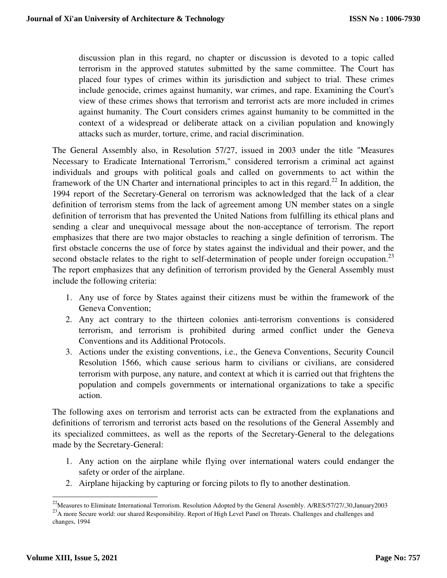discussion plan in this regard, no chapter or discussion is devoted to a topic called terrorism in the approved statutes submitted by the same committee. The Court has placed four types of crimes within its jurisdiction and subject to trial. These crimes include genocide, crimes against humanity, war crimes, and rape. Examining the Court's view of these crimes shows that terrorism and terrorist acts are more included in crimes against humanity. The Court considers crimes against humanity to be committed in the context of a widespread or deliberate attack on a civilian population and knowingly attacks such as murder, torture, crime, and racial discrimination.

The General Assembly also, in Resolution 57/27, issued in 2003 under the title "Measures Necessary to Eradicate International Terrorism," considered terrorism a criminal act against individuals and groups with political goals and called on governments to act within the framework of the UN Charter and international principles to act in this regard.<sup>22</sup> In addition, the 1994 report of the Secretary-General on terrorism was acknowledged that the lack of a clear definition of terrorism stems from the lack of agreement among UN member states on a single definition of terrorism that has prevented the United Nations from fulfilling its ethical plans and sending a clear and unequivocal message about the non-acceptance of terrorism. The report emphasizes that there are two major obstacles to reaching a single definition of terrorism. The first obstacle concerns the use of force by states against the individual and their power, and the second obstacle relates to the right to self-determination of people under foreign occupation.<sup>23</sup> The report emphasizes that any definition of terrorism provided by the General Assembly must include the following criteria:

- 1. Any use of force by States against their citizens must be within the framework of the Geneva Convention;
- 2. Any act contrary to the thirteen colonies anti-terrorism conventions is considered terrorism, and terrorism is prohibited during armed conflict under the Geneva Conventions and its Additional Protocols.
- 3. Actions under the existing conventions, i.e., the Geneva Conventions, Security Council Resolution 1566, which cause serious harm to civilians or civilians, are considered terrorism with purpose, any nature, and context at which it is carried out that frightens the population and compels governments or international organizations to take a specific action.

The following axes on terrorism and terrorist acts can be extracted from the explanations and definitions of terrorism and terrorist acts based on the resolutions of the General Assembly and its specialized committees, as well as the reports of the Secretary-General to the delegations made by the Secretary-General:

- 1. Any action on the airplane while flying over international waters could endanger the safety or order of the airplane.
- 2. Airplane hijacking by capturing or forcing pilots to fly to another destination.

 $^{22}$ Measures to Eliminate International Terrorism. Resolution Adopted by the General Assembly. A/RES/57/27/,30,January2003 <sup>23</sup>A more Secure world: our shared Responsibility. Report of High Level Panel on Threats. Challenges and challenges and changes, 1994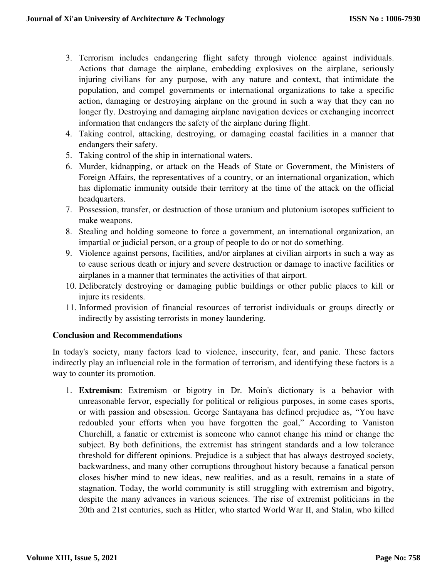- 3. Terrorism includes endangering flight safety through violence against individuals. Actions that damage the airplane, embedding explosives on the airplane, seriously injuring civilians for any purpose, with any nature and context, that intimidate the population, and compel governments or international organizations to take a specific action, damaging or destroying airplane on the ground in such a way that they can no longer fly. Destroying and damaging airplane navigation devices or exchanging incorrect information that endangers the safety of the airplane during flight.
- 4. Taking control, attacking, destroying, or damaging coastal facilities in a manner that endangers their safety.
- 5. Taking control of the ship in international waters.
- 6. Murder, kidnapping, or attack on the Heads of State or Government, the Ministers of Foreign Affairs, the representatives of a country, or an international organization, which has diplomatic immunity outside their territory at the time of the attack on the official headquarters.
- 7. Possession, transfer, or destruction of those uranium and plutonium isotopes sufficient to make weapons.
- 8. Stealing and holding someone to force a government, an international organization, an impartial or judicial person, or a group of people to do or not do something.
- 9. Violence against persons, facilities, and/or airplanes at civilian airports in such a way as to cause serious death or injury and severe destruction or damage to inactive facilities or airplanes in a manner that terminates the activities of that airport.
- 10. Deliberately destroying or damaging public buildings or other public places to kill or injure its residents.
- 11. Informed provision of financial resources of terrorist individuals or groups directly or indirectly by assisting terrorists in money laundering.

### **Conclusion and Recommendations**

In today's society, many factors lead to violence, insecurity, fear, and panic. These factors indirectly play an influencial role in the formation of terrorism, and identifying these factors is a way to counter its promotion.

1. **Extremism**: Extremism or bigotry in Dr. Moin's dictionary is a behavior with unreasonable fervor, especially for political or religious purposes, in some cases sports, or with passion and obsession. George Santayana has defined prejudice as, "You have redoubled your efforts when you have forgotten the goal," According to Vaniston Churchill, a fanatic or extremist is someone who cannot change his mind or change the subject. By both definitions, the extremist has stringent standards and a low tolerance threshold for different opinions. Prejudice is a subject that has always destroyed society, backwardness, and many other corruptions throughout history because a fanatical person closes his/her mind to new ideas, new realities, and as a result, remains in a state of stagnation. Today, the world community is still struggling with extremism and bigotry, despite the many advances in various sciences. The rise of extremist politicians in the 20th and 21st centuries, such as Hitler, who started World War II, and Stalin, who killed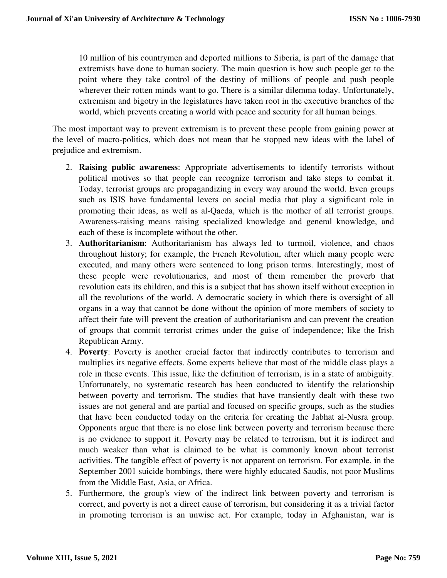10 million of his countrymen and deported millions to Siberia, is part of the damage that extremists have done to human society. The main question is how such people get to the point where they take control of the destiny of millions of people and push people wherever their rotten minds want to go. There is a similar dilemma today. Unfortunately, extremism and bigotry in the legislatures have taken root in the executive branches of the world, which prevents creating a world with peace and security for all human beings.

The most important way to prevent extremism is to prevent these people from gaining power at the level of macro-politics, which does not mean that he stopped new ideas with the label of prejudice and extremism.

- 2. **Raising public awareness**: Appropriate advertisements to identify terrorists without political motives so that people can recognize terrorism and take steps to combat it. Today, terrorist groups are propagandizing in every way around the world. Even groups such as ISIS have fundamental levers on social media that play a significant role in promoting their ideas, as well as al-Qaeda, which is the mother of all terrorist groups. Awareness-raising means raising specialized knowledge and general knowledge, and each of these is incomplete without the other.
- 3. **Authoritarianism**: Authoritarianism has always led to turmoil, violence, and chaos throughout history; for example, the French Revolution, after which many people were executed, and many others were sentenced to long prison terms. Interestingly, most of these people were revolutionaries, and most of them remember the proverb that revolution eats its children, and this is a subject that has shown itself without exception in all the revolutions of the world. A democratic society in which there is oversight of all organs in a way that cannot be done without the opinion of more members of society to affect their fate will prevent the creation of authoritarianism and can prevent the creation of groups that commit terrorist crimes under the guise of independence; like the Irish Republican Army.
- 4. **Poverty**: Poverty is another crucial factor that indirectly contributes to terrorism and multiplies its negative effects. Some experts believe that most of the middle class plays a role in these events. This issue, like the definition of terrorism, is in a state of ambiguity. Unfortunately, no systematic research has been conducted to identify the relationship between poverty and terrorism. The studies that have transiently dealt with these two issues are not general and are partial and focused on specific groups, such as the studies that have been conducted today on the criteria for creating the Jabhat al-Nusra group. Opponents argue that there is no close link between poverty and terrorism because there is no evidence to support it. Poverty may be related to terrorism, but it is indirect and much weaker than what is claimed to be what is commonly known about terrorist activities. The tangible effect of poverty is not apparent on terrorism. For example, in the September 2001 suicide bombings, there were highly educated Saudis, not poor Muslims from the Middle East, Asia, or Africa.
- 5. Furthermore, the group's view of the indirect link between poverty and terrorism is correct, and poverty is not a direct cause of terrorism, but considering it as a trivial factor in promoting terrorism is an unwise act. For example, today in Afghanistan, war is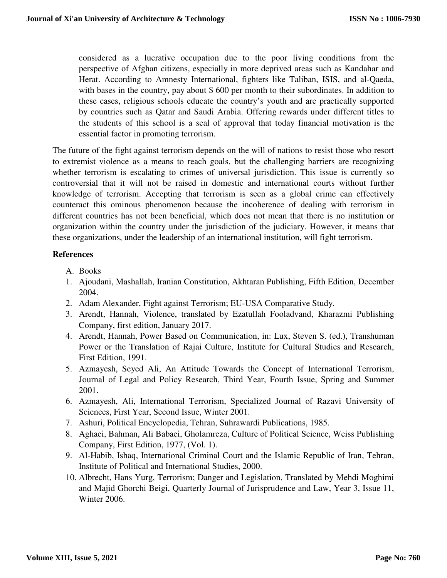considered as a lucrative occupation due to the poor living conditions from the perspective of Afghan citizens, especially in more deprived areas such as Kandahar and Herat. According to Amnesty International, fighters like Taliban, ISIS, and al-Qaeda, with bases in the country, pay about \$600 per month to their subordinates. In addition to these cases, religious schools educate the country's youth and are practically supported by countries such as Qatar and Saudi Arabia. Offering rewards under different titles to the students of this school is a seal of approval that today financial motivation is the essential factor in promoting terrorism.

The future of the fight against terrorism depends on the will of nations to resist those who resort to extremist violence as a means to reach goals, but the challenging barriers are recognizing whether terrorism is escalating to crimes of universal jurisdiction. This issue is currently so controversial that it will not be raised in domestic and international courts without further knowledge of terrorism. Accepting that terrorism is seen as a global crime can effectively counteract this ominous phenomenon because the incoherence of dealing with terrorism in different countries has not been beneficial, which does not mean that there is no institution or organization within the country under the jurisdiction of the judiciary. However, it means that these organizations, under the leadership of an international institution, will fight terrorism.

## **References**

- A. Books
- 1. Ajoudani, Mashallah, Iranian Constitution, Akhtaran Publishing, Fifth Edition, December 2004.
- 2. Adam Alexander, Fight against Terrorism; EU-USA Comparative Study.
- 3. Arendt, Hannah, Violence, translated by Ezatullah Fooladvand, Kharazmi Publishing Company, first edition, January 2017.
- 4. Arendt, Hannah, Power Based on Communication, in: Lux, Steven S. (ed.), Transhuman Power or the Translation of Rajai Culture, Institute for Cultural Studies and Research, First Edition, 1991.
- 5. Azmayesh, Seyed Ali, An Attitude Towards the Concept of International Terrorism, Journal of Legal and Policy Research, Third Year, Fourth Issue, Spring and Summer 2001.
- 6. Azmayesh, Ali, International Terrorism, Specialized Journal of Razavi University of Sciences, First Year, Second Issue, Winter 2001.
- 7. Ashuri, Political Encyclopedia, Tehran, Suhrawardi Publications, 1985.
- 8. Aghaei, Bahman, Ali Babaei, Gholamreza, Culture of Political Science, Weiss Publishing Company, First Edition, 1977, (Vol. 1).
- 9. Al-Habib, Ishaq, International Criminal Court and the Islamic Republic of Iran, Tehran, Institute of Political and International Studies, 2000.
- 10. Albrecht, Hans Yurg, Terrorism; Danger and Legislation, Translated by Mehdi Moghimi and Majid Ghorchi Beigi, Quarterly Journal of Jurisprudence and Law, Year 3, Issue 11, Winter 2006.